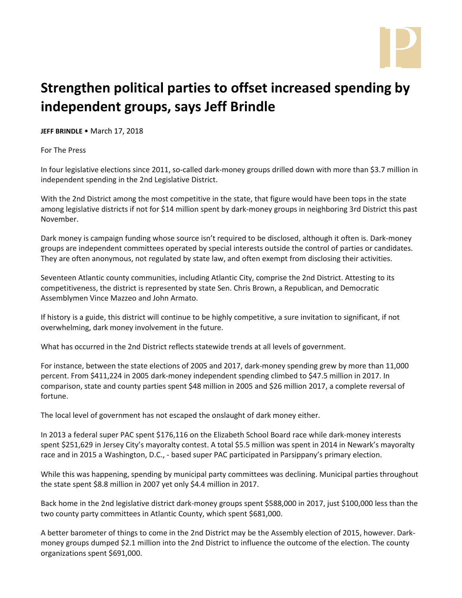

## **Strengthen political parties to offset increased spending by independent groups, says Jeff Brindle**

**JEFF BRINDLE** • March 17, 2018

For The Press

In four legislative elections since 2011, so-called dark-money groups drilled down with more than \$3.7 million in independent spending in the 2nd Legislative District.

With the 2nd District among the most competitive in the state, that figure would have been tops in the state among legislative districts if not for \$14 million spent by dark-money groups in neighboring 3rd District this past November.

Dark money is campaign funding whose source isn't required to be disclosed, although it often is. Dark-money groups are independent committees operated by special interests outside the control of parties or candidates. They are often anonymous, not regulated by state law, and often exempt from disclosing their activities.

Seventeen Atlantic county communities, including Atlantic City, comprise the 2nd District. Attesting to its competitiveness, the district is represented by state Sen. Chris Brown, a Republican, and Democratic Assemblymen Vince Mazzeo and John Armato.

If history is a guide, this district will continue to be highly competitive, a sure invitation to significant, if not overwhelming, dark money involvement in the future.

What has occurred in the 2nd District reflects statewide trends at all levels of government.

For instance, between the state elections of 2005 and 2017, dark-money spending grew by more than 11,000 percent. From \$411,224 in 2005 dark-money independent spending climbed to \$47.5 million in 2017. In comparison, state and county parties spent \$48 million in 2005 and \$26 million 2017, a complete reversal of fortune.

The local level of government has not escaped the onslaught of dark money either.

In 2013 a federal super PAC spent \$176,116 on the Elizabeth School Board race while dark-money interests spent \$251,629 in Jersey City's mayoralty contest. A total \$5.5 million was spent in 2014 in Newark's mayoralty race and in 2015 a Washington, D.C., - based super PAC participated in Parsippany's primary election.

While this was happening, spending by municipal party committees was declining. Municipal parties throughout the state spent \$8.8 million in 2007 yet only \$4.4 million in 2017.

Back home in the 2nd legislative district dark-money groups spent \$588,000 in 2017, just \$100,000 less than the two county party committees in Atlantic County, which spent \$681,000.

A better barometer of things to come in the 2nd District may be the Assembly election of 2015, however. Darkmoney groups dumped \$2.1 million into the 2nd District to influence the outcome of the election. The county organizations spent \$691,000.